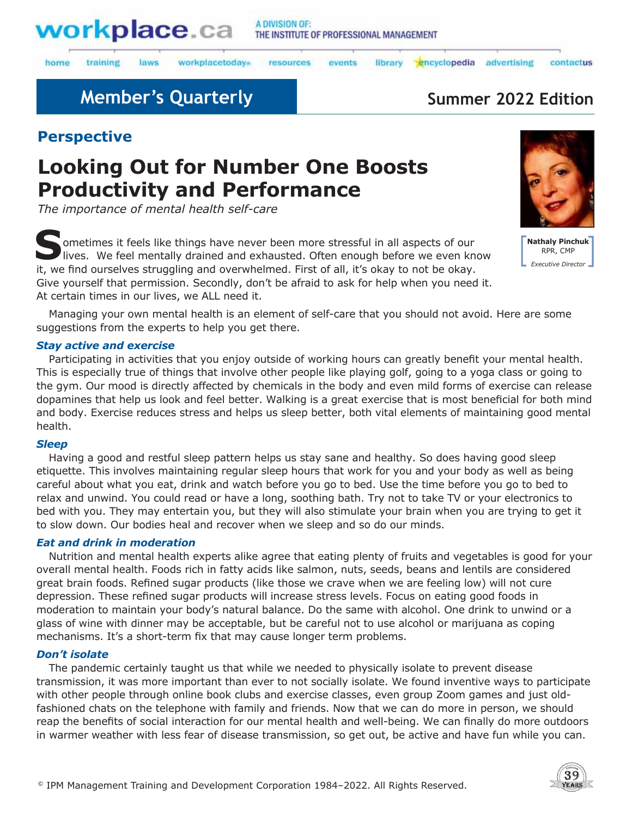

laws

#### A DIVISION OF: THE INSTITUTE OF PROFESSIONAL MANAGEMENT

library

home training workplacetodays

resources events

encyclopedia advertising

#### contactus

## **Member's Quarterly <b>Summer 2022 Edition**

## **Perspective**

# **Looking Out for Number One Boosts Productivity and Performance**

*The importance of mental health self-care* 

**S**ometimes it feels like things have never been more stressful in all aspects of our lives. We feel mentally drained and exhausted. Often enough before we even know it, we find ourselves struggling and overwhelmed. First of all, it's okay to not be okay. Give yourself that permission. Secondly, don't be afraid to ask for help when you need it. At certain times in our lives, we ALL need it.



**Nathaly Pinchuk** RPR, CMP *Executive Director*

Managing your own mental health is an element of self-care that you should not avoid. Here are some suggestions from the experts to help you get there.

#### *Stay active and exercise*

Participating in activities that you enjoy outside of working hours can greatly benefit your mental health. This is especially true of things that involve other people like playing golf, going to a yoga class or going to the gym. Our mood is directly affected by chemicals in the body and even mild forms of exercise can release dopamines that help us look and feel better. Walking is a great exercise that is most beneficial for both mind and body. Exercise reduces stress and helps us sleep better, both vital elements of maintaining good mental health.

#### *Sleep*

Having a good and restful sleep pattern helps us stay sane and healthy. So does having good sleep etiquette. This involves maintaining regular sleep hours that work for you and your body as well as being careful about what you eat, drink and watch before you go to bed. Use the time before you go to bed to relax and unwind. You could read or have a long, soothing bath. Try not to take TV or your electronics to bed with you. They may entertain you, but they will also stimulate your brain when you are trying to get it to slow down. Our bodies heal and recover when we sleep and so do our minds.

#### *Eat and drink in moderation*

Nutrition and mental health experts alike agree that eating plenty of fruits and vegetables is good for your overall mental health. Foods rich in fatty acids like salmon, nuts, seeds, beans and lentils are considered great brain foods. Refined sugar products (like those we crave when we are feeling low) will not cure depression. These refined sugar products will increase stress levels. Focus on eating good foods in moderation to maintain your body's natural balance. Do the same with alcohol. One drink to unwind or a glass of wine with dinner may be acceptable, but be careful not to use alcohol or marijuana as coping mechanisms. It's a short-term fix that may cause longer term problems.

#### *Don't isolate*

The pandemic certainly taught us that while we needed to physically isolate to prevent disease transmission, it was more important than ever to not socially isolate. We found inventive ways to participate with other people through online book clubs and exercise classes, even group Zoom games and just oldfashioned chats on the telephone with family and friends. Now that we can do more in person, we should reap the benefits of social interaction for our mental health and well-being. We can finally do more outdoors in warmer weather with less fear of disease transmission, so get out, be active and have fun while you can.